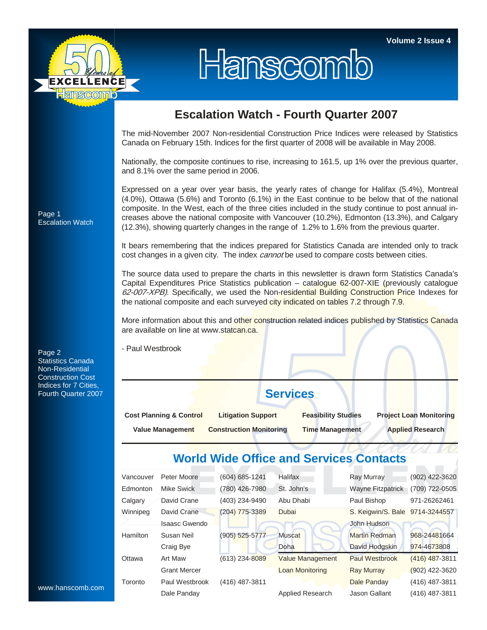

# Hanscomb

### **Escalation Watch - Fourth Quarter 2007**

The mid-November 2007 Non-residential Construction Price Indices were released by Statistics Canada on February 15th. Indices for the first quarter of 2008 will be available in May 2008.

Nationally, the composite continues to rise, increasing to 161.5, up 1% over the previous quarter, and 8.1% over the same period in 2006.

Expressed on a year over year basis, the yearly rates of change for Halifax (5.4%), Montreal (4.0%), Ottawa (5.6%) and Toronto (6.1%) in the East continue to be below that of the national composite. In the West, each of the three cities included in the study continue to post annual increases above the national composite with Vancouver (10.2%), Edmonton (13.3%), and Calgary (12.3%), showing quarterly changes in the range of 1.2% to 1.6% from the previous quarter.

It bears remembering that the indices prepared for Statistics Canada are intended only to track cost changes in a given city. The index *cannot* be used to compare costs between cities.

The source data used to prepare the charts in this newsletter is drawn form Statistics Canada's Capital Expenditures Price Statistics publication – catalogue 62-007-XIE (previously catalogue 62-007-XPB). Specifically, we used the Non-residential Building Construction Price Indexes for the national composite and each surveyed city indicated on tables 7.2 through 7.9.

More information about this and other construction related indices published by Statistics Canada are available on line at www.statcan.ca.

- Paul Westbrook

## **Services**

| <b>Cost Planning &amp; Control</b> | <b>Litigation Support</b>      | <b>Feasibility Studies</b> | <b>Project Loan Monitoring</b> |  |  |  |
|------------------------------------|--------------------------------|----------------------------|--------------------------------|--|--|--|
| <b>Value Management</b>            | <b>Construction Monitoring</b> | <b>Time Management</b>     | <b>Applied Research</b>        |  |  |  |

#### **World Wide Office and Services Contacts**

| Vancouver       | Peter Moore         | (604) 685-1241   | <b>Halifax</b>          | <b>Ray Murray</b>               | (902) 422-3620   |
|-----------------|---------------------|------------------|-------------------------|---------------------------------|------------------|
| Edmonton        | Mike Swick          | (780) 426-7980   | St. John's              | <b>Wayne Fitzpatrick</b>        | (709) 722-0505   |
| Calgary         | David Crane         | (403) 234-9490   | Abu Dhabi               | Paul Bishop                     | 971-26262461     |
| Winnipeg        | David Crane         | $(204)$ 775-3389 | Dubai                   | S. Keigwin/S. Bale 9714-3244557 |                  |
|                 | Isaasc Gwendo       |                  |                         | John Hudson                     |                  |
| <b>Hamilton</b> | Susan Neil          | $(905)$ 525-5777 | <b>Muscat</b>           | <b>Martin Redman</b>            | 968-24481664     |
|                 | Craig Bye           |                  | Doha                    | David Hodgskin                  | 974-4673808      |
| Ottawa          | Art Maw             | (613) 234-8089   | <b>Value Management</b> | Paul Westbrook                  | (416) 487-3811   |
|                 | <b>Grant Mercer</b> |                  | <b>Loan Monitoring</b>  | <b>Ray Murray</b>               | $(902)$ 422-3620 |
| Toronto         | Paul Westbrook      | (416) 487-3811   |                         | Dale Panday                     | (416) 487-3811   |
|                 | Dale Panday         |                  | <b>Applied Research</b> | Jason Gallant                   | (416) 487-3811   |

Page 1 Escalation Watch

Page 2 Statistics Canada Non-Residential Construction Cost Indices for 7 Cities, Fourth Quarter 2007